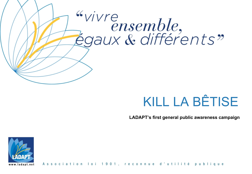# "vivre ensemble,<br>Égaux & différents"

# KILL LA BÊTISE

**LADAPT's first general public awareness campaign**



Association loi 1901, reconnue d'utilité publ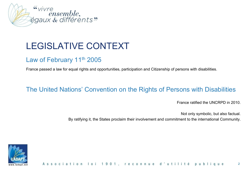

# LEGISLATIVE CONTEXT

### Law of February 11<sup>th</sup> 2005

France passed a law for equal rights and opportunities, participation and Citizenship of persons with disabilities.

### The United Nations' Convention on the Rights of Persons with Disabilities

France ratified the UNCRPD in 2010.

Not only symbolic, but also factual.

By ratifying it, the States proclaim their involvement and commitment to the international Community.

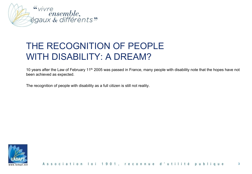

# THE RECOGNITION OF PEOPLE WITH DISABILITY: A DREAM?

10 years after the Law of February 11<sup>th</sup> 2005 was passed in France, many people with disability note that the hopes have not been achieved as expected.

The recognition of people with disability as a full citizen is still not reality.

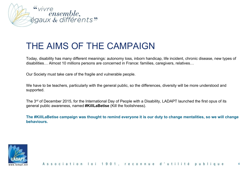

### THE AIMS OF THE CAMPAIGN

Today, disability has many different meanings: autonomy loss, inborn handicap, life incident, chronic disease, new types of disabilities… Almost 10 millions persons are concerned in France: families, caregivers, relatives…

Our Society must take care of the fragile and vulnerable people.

We have to be teachers, particularly with the general public, so the differences, diversity will be more understood and supported.

The 3<sup>rd</sup> of December 2015, for the International Day of People with a Disability, LADAPT launched the first opus of its general public awareness, named **#KillLaBetise** (Kill the foolishness).

**The #KillLaBetise campaign was thought to remind everyone it is our duty to change mentalities, so we will change behaviours.**

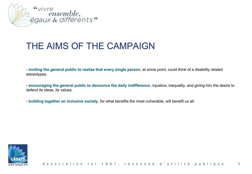

### THE AIMS OF THE CAMPAIGN

- **inviting the general public to realize that every single person**, at some point, could think of a disability related stereotypes.

- **encouraging the general public to denounce the daily indifference**, injustice, inequality, and giving him the desire to defend its ideas, its values.

- **building together an inclusive society**, for what benefits the most vulnerable, will benefit us all.

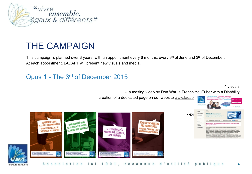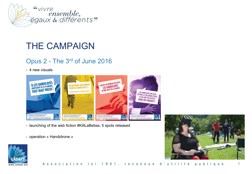

# THE CAMPAIGN

### Opus 2 - The 3rd of June 2016

- 4 new visuals



- launching of the web fiction #KillLaBetise, 5 spots released
- operation « Handidrone »